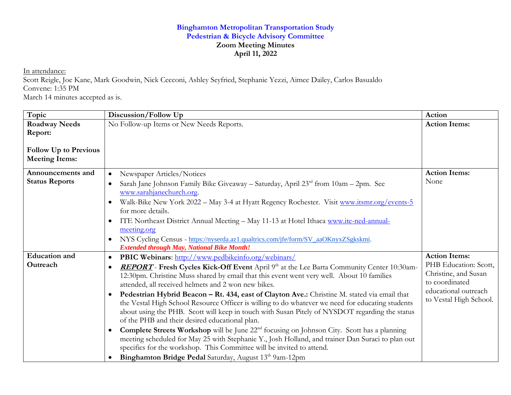## **Binghamton Metropolitan Transportation Study Pedestrian & Bicycle Advisory Committee Zoom Meeting Minutes April 11, 2022**

In attendance:

Scott Reigle, Joe Kane, Mark Goodwin, Nick Cecconi, Ashley Seyfried, Stephanie Yezzi, Aimee Dailey, Carlos Basualdo Convene: 1:35 PM

March 14 minutes accepted as is.

| Topic                        | Discussion/Follow Up                                                                                                                                                                                          | Action                                        |
|------------------------------|---------------------------------------------------------------------------------------------------------------------------------------------------------------------------------------------------------------|-----------------------------------------------|
| <b>Roadway Needs</b>         | No Follow-up Items or New Needs Reports.                                                                                                                                                                      | <b>Action Items:</b>                          |
| Report:                      |                                                                                                                                                                                                               |                                               |
| <b>Follow Up to Previous</b> |                                                                                                                                                                                                               |                                               |
| <b>Meeting Items:</b>        |                                                                                                                                                                                                               |                                               |
| Announcements and            | Newspaper Articles/Notices                                                                                                                                                                                    | <b>Action Items:</b>                          |
| <b>Status Reports</b>        | Sarah Jane Johnson Family Bike Giveaway – Saturday, April $23rd$ from $10am - 2pm$ . See<br>$\bullet$<br>www.sarahjanechurch.org.                                                                             | None                                          |
|                              | Walk-Bike New York 2022 - May 3-4 at Hyatt Regency Rochester. Visit www.itsmr.org/events-5<br>$\bullet$                                                                                                       |                                               |
|                              | for more details.                                                                                                                                                                                             |                                               |
|                              | ITE Northeast District Annual Meeting - May 11-13 at Hotel Ithaca www.ite-ned-annual-<br>$\bullet$                                                                                                            |                                               |
|                              | meeting.org                                                                                                                                                                                                   |                                               |
|                              | NYS Cycling Census - https://nyserda.az1.qualtrics.com/jfe/form/SV_aaOKnyxZSgkskmi.<br>$\bullet$                                                                                                              |                                               |
|                              | <b>Extended through May, National Bike Month!</b>                                                                                                                                                             |                                               |
| <b>Education</b> and         | <b>PBIC Webinars:</b> http://www.pedbikeinfo.org/webinars/<br>$\bullet$                                                                                                                                       | <b>Action Items:</b>                          |
| Outreach                     | REPORT - Fresh Cycles Kick-Off Event April 9th at the Lee Barta Community Center 10:30am-<br>$\bullet$                                                                                                        | PHB Education: Scott,<br>Christine, and Susan |
|                              | 12:30pm. Christine Muss shared by email that this event went very well. About 10 families                                                                                                                     | to coordinated                                |
|                              | attended, all received helmets and 2 won new bikes.                                                                                                                                                           | educational outreach                          |
|                              | Pedestrian Hybrid Beacon - Rt. 434, east of Clayton Ave.: Christine M. stated via email that<br>$\bullet$<br>the Vestal High School Resource Officer is willing to do whatever we need for educating students | to Vestal High School.                        |
|                              | about using the PHB. Scott will keep in touch with Susan Pitely of NYSDOT regarding the status                                                                                                                |                                               |
|                              | of the PHB and their desired educational plan.                                                                                                                                                                |                                               |
|                              | <b>Complete Streets Workshop</b> will be June 22 <sup>nd</sup> focusing on Johnson City. Scott has a planning<br>$\bullet$                                                                                    |                                               |
|                              | meeting scheduled for May 25 with Stephanie Y., Josh Holland, and trainer Dan Suraci to plan out                                                                                                              |                                               |
|                              | specifics for the workshop. This Committee will be invited to attend.                                                                                                                                         |                                               |
|                              | Binghamton Bridge Pedal Saturday, August 13 <sup>th</sup> 9am-12pm<br>$\bullet$                                                                                                                               |                                               |